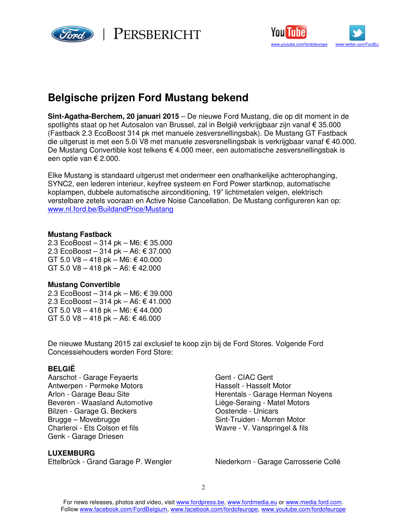

 $\mathbb{P}_{\text{ERSBERT}}$ 



# **Belgische prijzen Ford Mustang bekend**

**Sint-Agatha-Berchem, 20 januari 2015** – De nieuwe Ford Mustang, die op dit moment in de spotlights staat op het Autosalon van Brussel, zal in België verkrijgbaar zijn vanaf € 35.000 (Fastback 2.3 EcoBoost 314 pk met manuele zesversnellingsbak). De Mustang GT Fastback die uitgerust is met een 5.0i V8 met manuele zesversnellingsbak is verkrijgbaar vanaf € 40.000. De Mustang Convertible kost telkens € 4.000 meer, een automatische zesversnellingsbak is een optie van € 2.000.

Elke Mustang is standaard uitgerust met ondermeer een onafhankelijke achterophanging, SYNC2, een lederen interieur, keyfree systeem en Ford Power startknop, automatische koplampen, dubbele automatische airconditioning, 19" lichtmetalen velgen, elektrisch verstelbare zetels vooraan en Active Noise Cancellation. De Mustang configureren kan op: www.nl.ford.be/BuildandPrice/Mustang

#### **Mustang Fastback**

2.3 EcoBoost – 314 pk – M6: € 35.000 2.3 EcoBoost – 314 pk – A6: € 37.000 GT 5.0 V8 – 418 pk – M6: € 40.000 GT 5.0 V8 – 418 pk – A6: € 42.000

# **Mustang Convertible**

2.3 EcoBoost – 314 pk – M6: € 39.000 2.3 EcoBoost – 314 pk – A6: € 41.000 GT 5.0 V8 – 418 pk – M6: € 44.000 GT 5.0 V8 – 418 pk – A6: € 46.000

De nieuwe Mustang 2015 zal exclusief te koop zijn bij de Ford Stores. Volgende Ford Concessiehouders worden Ford Store:

# **BELGIË**

Aarschot - Garage Feyaerts Gent - CIAC Gent Antwerpen - Permeke Motors **Hasselt - Hasselt Motor** Beveren - Waasland Automotive<br>Bilzen - Garage G. Beckers<br>Costende - Unicars Bilzen - Garage G. Beckers Brugge – Movebrugge<br>
Charleroi - Ets Colson et fils<br>
Charleroi - Ets Colson et fils<br>
Sint-Truiden - Morren Motor Genk - Garage Driesen

### **LUXEMBURG**

Arlon - Garage Beau Site **Herentals - Garage Herman Noyens** Wavre - V. Vanspringel & fils

Ettelbrück - Grand Garage P. Wengler Niederkorn - Garage Carrosserie Collé